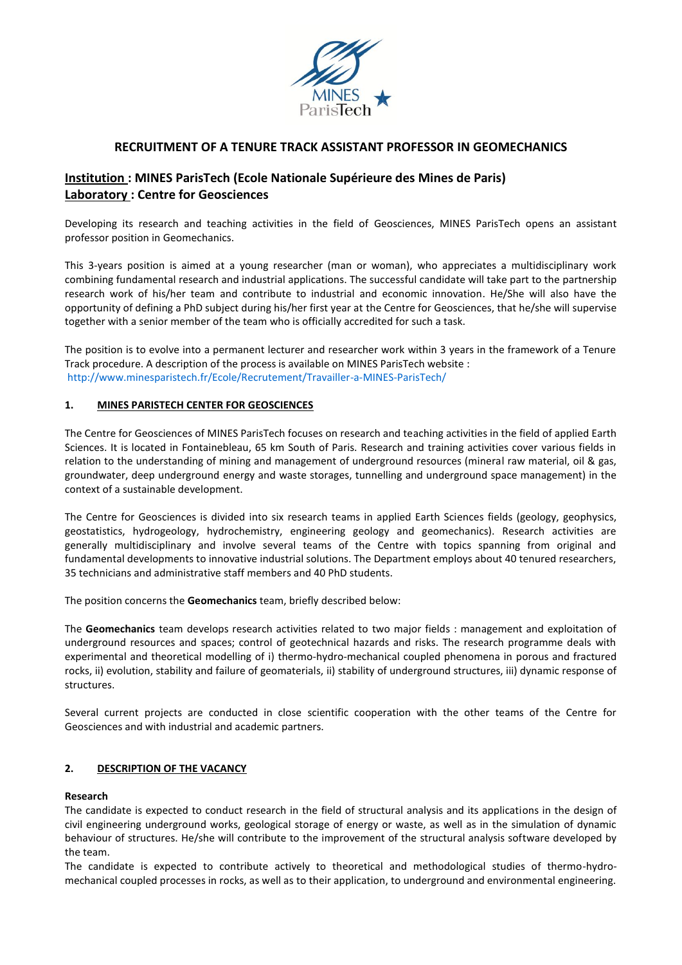

## **RECRUITMENT OF A TENURE TRACK ASSISTANT PROFESSOR IN GEOMECHANICS**

# **Institution : MINES ParisTech (Ecole Nationale Supérieure des Mines de Paris) Laboratory : Centre for Geosciences**

Developing its research and teaching activities in the field of Geosciences, MINES ParisTech opens an assistant professor position in Geomechanics.

This 3-years position is aimed at a young researcher (man or woman), who appreciates a multidisciplinary work combining fundamental research and industrial applications. The successful candidate will take part to the partnership research work of his/her team and contribute to industrial and economic innovation. He/She will also have the opportunity of defining a PhD subject during his/her first year at the Centre for Geosciences, that he/she will supervise together with a senior member of the team who is officially accredited for such a task.

The position is to evolve into a permanent lecturer and researcher work within 3 years in the framework of a Tenure Track procedure. A description of the process is available on MINES ParisTech website : http://www.minesparistech.fr/Ecole/Recrutement/Travailler-a-MINES-ParisTech/

#### **1. MINES PARISTECH CENTER FOR GEOSCIENCES**

The Centre for Geosciences of MINES ParisTech focuses on research and teaching activities in the field of applied Earth Sciences. It is located in Fontainebleau, 65 km South of Paris. Research and training activities cover various fields in relation to the understanding of mining and management of underground resources (mineral raw material, oil & gas, groundwater, deep underground energy and waste storages, tunnelling and underground space management) in the context of a sustainable development.

The Centre for Geosciences is divided into six research teams in applied Earth Sciences fields (geology, geophysics, geostatistics, hydrogeology, hydrochemistry, engineering geology and geomechanics). Research activities are generally multidisciplinary and involve several teams of the Centre with topics spanning from original and fundamental developments to innovative industrial solutions. The Department employs about 40 tenured researchers, 35 technicians and administrative staff members and 40 PhD students.

The position concerns the **Geomechanics** team, briefly described below:

The **Geomechanics** team develops research activities related to two major fields : management and exploitation of underground resources and spaces; control of geotechnical hazards and risks. The research programme deals with experimental and theoretical modelling of i) thermo-hydro-mechanical coupled phenomena in porous and fractured rocks, ii) evolution, stability and failure of geomaterials, ii) stability of underground structures, iii) dynamic response of structures.

Several current projects are conducted in close scientific cooperation with the other teams of the Centre for Geosciences and with industrial and academic partners.

#### **2. DESCRIPTION OF THE VACANCY**

#### **Research**

The candidate is expected to conduct research in the field of structural analysis and its applications in the design of civil engineering underground works, geological storage of energy or waste, as well as in the simulation of dynamic behaviour of structures. He/she will contribute to the improvement of the structural analysis software developed by the team.

The candidate is expected to contribute actively to theoretical and methodological studies of thermo-hydromechanical coupled processes in rocks, as well as to their application, to underground and environmental engineering.